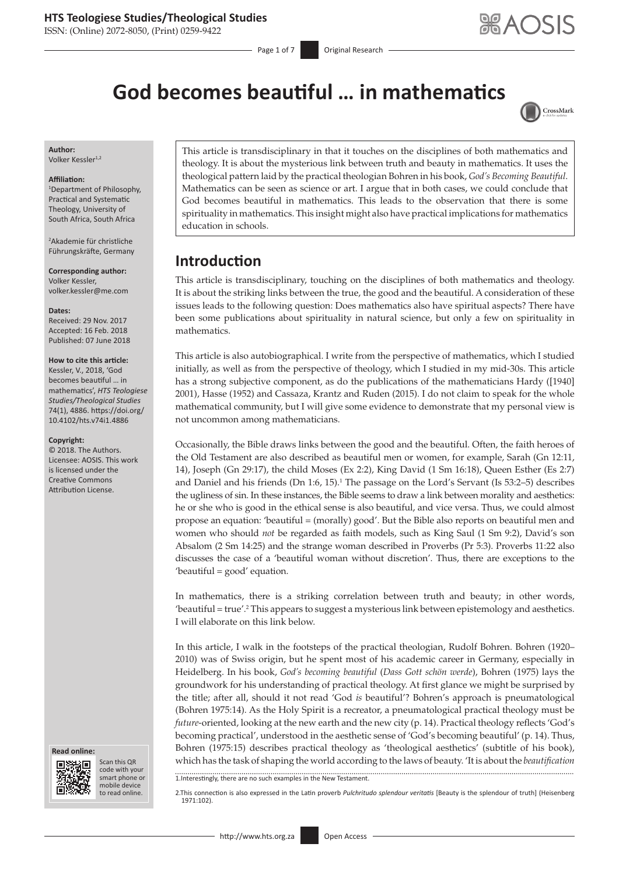ISSN: (Online) 2072-8050, (Print) 0259-9422

Page 1 of 7 **Original Research** 

# **God becomes beautiful … in mathematics**



**Author:** Volker Kessler<sup>1,2</sup>

#### **Affiliation:**

1 Department of Philosophy, Practical and Systematic Theology, University of South Africa, South Africa

2 Akademie für christliche Führungskräfte, Germany

**Corresponding author:** Volker Kessler, [volker.kessler@me.com](mailto:volker.kessler@me.com)

**Dates:** Received: 29 Nov. 2017

Accepted: 16 Feb. 2018 Published: 07 June 2018

#### **How to cite this article:**

Kessler, V., 2018, 'God becomes beautiful … in mathematics', *HTS Teologiese Studies/Theological Studies* 74(1), 4886. [https://doi.org/](https://doi.org/10.4102/hts.v74i1.4886) [10.4102/hts.v74i1.4886](https://doi.org/10.4102/hts.v74i1.4886)

#### **Copyright:**

© 2018. The Authors. Licensee: AOSIS. This work is licensed under the Creative Commons Attribution License.





Scan this QR code with your Scan this QR<br>code with your<br>smart phone or<br>mobile device mobile device to read online. to read online.

This article is transdisciplinary in that it touches on the disciplines of both mathematics and theology. It is about the mysterious link between truth and beauty in mathematics. It uses the theological pattern laid by the practical theologian Bohren in his book, *God's Becoming Beautiful*. Mathematics can be seen as science or art. I argue that in both cases, we could conclude that God becomes beautiful in mathematics. This leads to the observation that there is some spirituality in mathematics. This insight might also have practical implications for mathematics education in schools.

# **Introduction**

This article is transdisciplinary, touching on the disciplines of both mathematics and theology. It is about the striking links between the true, the good and the beautiful. A consideration of these issues leads to the following question: Does mathematics also have spiritual aspects? There have been some publications about spirituality in natural science, but only a few on spirituality in mathematics.

This article is also autobiographical. I write from the perspective of mathematics, which I studied initially, as well as from the perspective of theology, which I studied in my mid-30s. This article has a strong subjective component, as do the publications of the mathematicians Hardy ([1940] 2001), Hasse (1952) and Cassaza, Krantz and Ruden (2015). I do not claim to speak for the whole mathematical community, but I will give some evidence to demonstrate that my personal view is not uncommon among mathematicians.

Occasionally, the Bible draws links between the good and the beautiful. Often, the faith heroes of the Old Testament are also described as beautiful men or women, for example, Sarah (Gn 12:11, 14), Joseph (Gn 29:17), the child Moses (Ex 2:2), King David (1 Sm 16:18), Queen Esther (Es 2:7) and Daniel and his friends (Dn 1:6, 15).<sup>1</sup> The passage on the Lord's Servant (Is 53:2–5) describes the ugliness of sin. In these instances, the Bible seems to draw a link between morality and aesthetics: he or she who is good in the ethical sense is also beautiful, and vice versa. Thus, we could almost propose an equation: 'beautiful = (morally) good'. But the Bible also reports on beautiful men and women who should *not* be regarded as faith models, such as King Saul (1 Sm 9:2), David's son Absalom (2 Sm 14:25) and the strange woman described in Proverbs (Pr 5:3). Proverbs 11:22 also discusses the case of a 'beautiful woman without discretion'. Thus, there are exceptions to the 'beautiful = good' equation.

In mathematics, there is a striking correlation between truth and beauty; in other words, 'beautiful = true'.<sup>2</sup> This appears to suggest a mysterious link between epistemology and aesthetics. I will elaborate on this link below.

In this article, I walk in the footsteps of the practical theologian, Rudolf Bohren. Bohren (1920– 2010) was of Swiss origin, but he spent most of his academic career in Germany, especially in Heidelberg. In his book, *God's becoming beautiful* (*Dass Gott schön werde*), Bohren (1975) lays the groundwork for his understanding of practical theology. At first glance we might be surprised by the title; after all, should it not read 'God *is* beautiful'? Bohren's approach is pneumatological (Bohren 1975:14). As the Holy Spirit is a recreator, a pneumatological practical theology must be *future*-oriented, looking at the new earth and the new city (p. 14). Practical theology reflects 'God's becoming practical', understood in the aesthetic sense of 'God's becoming beautiful' (p. 14). Thus, Bohren (1975:15) describes practical theology as 'theological aesthetics' (subtitle of his book), which has the task of shaping the world according to the laws of beauty. 'It is about the *beautification* 1.Interestingly, there are no such examples in the New Testament.

2.This connection is also expressed in the Latin proverb *Pulchritudo splendour veritatis* [Beauty is the splendour of truth] (Heisenberg 1971:102).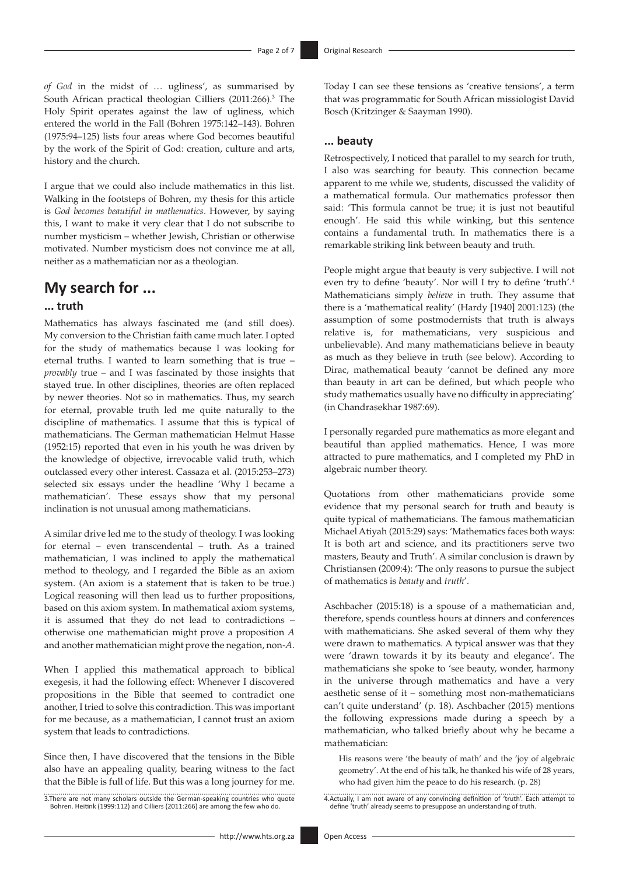*of God* in the midst of … ugliness', as summarised by South African practical theologian Cilliers (2011:266).<sup>3</sup> The Holy Spirit operates against the law of ugliness, which entered the world in the Fall (Bohren 1975:142–143). Bohren (1975:94–125) lists four areas where God becomes beautiful by the work of the Spirit of God: creation, culture and arts, history and the church.

I argue that we could also include mathematics in this list. Walking in the footsteps of Bohren, my thesis for this article is *God becomes beautiful in mathematics*. However, by saying this, I want to make it very clear that I do not subscribe to number mysticism – whether Jewish, Christian or otherwise motivated. Number mysticism does not convince me at all, neither as a mathematician nor as a theologian.

### **My search for ...**

#### **... truth**

Mathematics has always fascinated me (and still does). My conversion to the Christian faith came much later. I opted for the study of mathematics because I was looking for eternal truths. I wanted to learn something that is true – *provably* true – and I was fascinated by those insights that stayed true. In other disciplines, theories are often replaced by newer theories. Not so in mathematics. Thus, my search for eternal, provable truth led me quite naturally to the discipline of mathematics. I assume that this is typical of mathematicians. The German mathematician Helmut Hasse (1952:15) reported that even in his youth he was driven by the knowledge of objective, irrevocable valid truth, which outclassed every other interest. Cassaza et al. (2015:253–273) selected six essays under the headline 'Why I became a mathematician'. These essays show that my personal inclination is not unusual among mathematicians.

A similar drive led me to the study of theology. I was looking for eternal – even transcendental – truth. As a trained mathematician, I was inclined to apply the mathematical method to theology, and I regarded the Bible as an axiom system. (An axiom is a statement that is taken to be true.) Logical reasoning will then lead us to further propositions, based on this axiom system. In mathematical axiom systems, it is assumed that they do not lead to contradictions – otherwise one mathematician might prove a proposition *A* and another mathematician might prove the negation, non-*A*.

When I applied this mathematical approach to biblical exegesis, it had the following effect: Whenever I discovered propositions in the Bible that seemed to contradict one another, I tried to solve this contradiction. This was important for me because, as a mathematician, I cannot trust an axiom system that leads to contradictions.

Since then, I have discovered that the tensions in the Bible also have an appealing quality, bearing witness to the fact that the Bible is full of life. But this was a long journey for me.

3.There are not many scholars outside the German-speaking countries who quote Bohren. Heitink (1999:112) and Cilliers (2011:266) are among the few who do.

Today I can see these tensions as 'creative tensions', a term that was programmatic for South African missiologist David Bosch (Kritzinger & Saayman 1990).

#### **... beauty**

Retrospectively, I noticed that parallel to my search for truth, I also was searching for beauty. This connection became apparent to me while we, students, discussed the validity of a mathematical formula. Our mathematics professor then said: 'This formula cannot be true; it is just not beautiful enough'. He said this while winking, but this sentence contains a fundamental truth. In mathematics there is a remarkable striking link between beauty and truth.

People might argue that beauty is very subjective. I will not even try to define 'beauty'. Nor will I try to define 'truth'.4 Mathematicians simply *believe* in truth. They assume that there is a 'mathematical reality' (Hardy [1940] 2001:123) (the assumption of some postmodernists that truth is always relative is, for mathematicians, very suspicious and unbelievable). And many mathematicians believe in beauty as much as they believe in truth (see below). According to Dirac, mathematical beauty 'cannot be defined any more than beauty in art can be defined, but which people who study mathematics usually have no difficulty in appreciating' (in Chandrasekhar 1987:69).

I personally regarded pure mathematics as more elegant and beautiful than applied mathematics. Hence, I was more attracted to pure mathematics, and I completed my PhD in algebraic number theory.

Quotations from other mathematicians provide some evidence that my personal search for truth and beauty is quite typical of mathematicians. The famous mathematician Michael Atiyah (2015:29) says: 'Mathematics faces both ways: It is both art and science, and its practitioners serve two masters, Beauty and Truth'. A similar conclusion is drawn by Christiansen (2009:4): 'The only reasons to pursue the subject of mathematics is *beauty* and *truth*'.

Aschbacher (2015:18) is a spouse of a mathematician and, therefore, spends countless hours at dinners and conferences with mathematicians. She asked several of them why they were drawn to mathematics. A typical answer was that they were 'drawn towards it by its beauty and elegance'. The mathematicians she spoke to 'see beauty, wonder, harmony in the universe through mathematics and have a very aesthetic sense of it – something most non-mathematicians can't quite understand' (p. 18). Aschbacher (2015) mentions the following expressions made during a speech by a mathematician, who talked briefly about why he became a mathematician:

His reasons were 'the beauty of math' and the 'joy of algebraic geometry'. At the end of his talk, he thanked his wife of 28 years, who had given him the peace to do his research. (p. 28)

4.Actually, I am not aware of any convincing definition of 'truth'. Each attempt to define 'truth' already seems to presuppose an understanding of truth.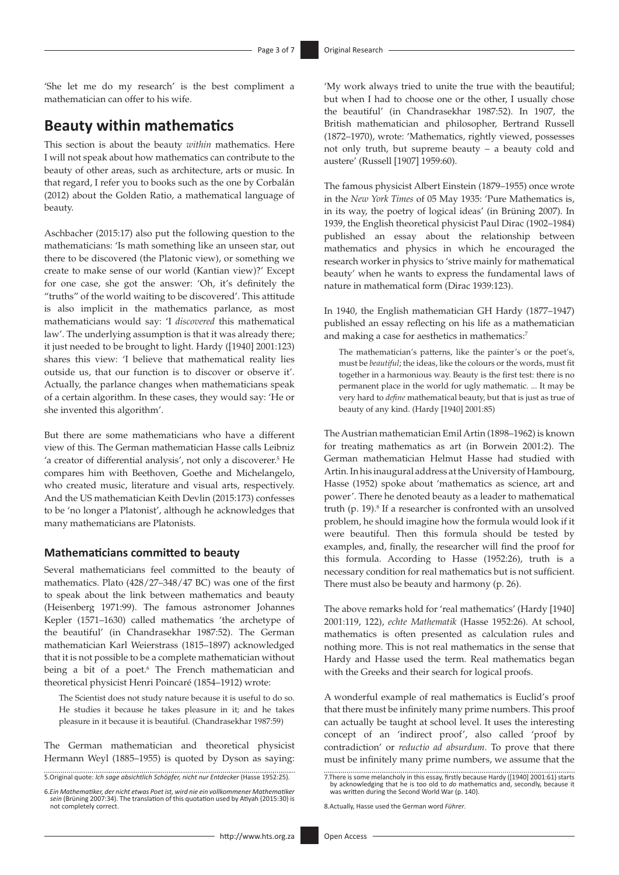'She let me do my research' is the best compliment a mathematician can offer to his wife.

# **Beauty within mathematics**

This section is about the beauty *within* mathematics. Here I will not speak about how mathematics can contribute to the beauty of other areas, such as architecture, arts or music. In that regard, I refer you to books such as the one by Corbalán (2012) about the Golden Ratio, a mathematical language of beauty.

Aschbacher (2015:17) also put the following question to the mathematicians: 'Is math something like an unseen star, out there to be discovered (the Platonic view), or something we create to make sense of our world (Kantian view)?' Except for one case, she got the answer: 'Oh, it's definitely the "truths" of the world waiting to be discovered'. This attitude is also implicit in the mathematics parlance, as most mathematicians would say: 'I *discovered* this mathematical law'. The underlying assumption is that it was already there; it just needed to be brought to light. Hardy ([1940] 2001:123) shares this view: 'I believe that mathematical reality lies outside us, that our function is to discover or observe it'. Actually, the parlance changes when mathematicians speak of a certain algorithm. In these cases, they would say: 'He or she invented this algorithm'.

But there are some mathematicians who have a different view of this. The German mathematician Hasse calls Leibniz 'a creator of differential analysis', not only a discoverer.<sup>5</sup> He compares him with Beethoven, Goethe and Michelangelo, who created music, literature and visual arts, respectively. And the US mathematician Keith Devlin (2015:173) confesses to be 'no longer a Platonist', although he acknowledges that many mathematicians are Platonists.

#### **Mathematicians committed to beauty**

Several mathematicians feel committed to the beauty of mathematics. Plato (428/27–348/47 BC) was one of the first to speak about the link between mathematics and beauty (Heisenberg 1971:99). The famous astronomer Johannes Kepler (1571–1630) called mathematics 'the archetype of the beautiful' (in Chandrasekhar 1987:52). The German mathematician Karl Weierstrass (1815–1897) acknowledged that it is not possible to be a complete mathematician without being a bit of a poet.<sup>6</sup> The French mathematician and theoretical physicist Henri Poincaré (1854–1912) wrote:

The Scientist does not study nature because it is useful to do so. He studies it because he takes pleasure in it; and he takes pleasure in it because it is beautiful. (Chandrasekhar 1987:59)

The German mathematician and theoretical physicist Hermann Weyl (1885–1955) is quoted by Dyson as saying:

5.Original quote: *Ich sage absichtlich Schöpfer, nicht nur Entdecker* (Hasse 1952:25).

'My work always tried to unite the true with the beautiful; but when I had to choose one or the other, I usually chose the beautiful' (in Chandrasekhar 1987:52). In 1907, the British mathematician and philosopher, Bertrand Russell (1872–1970), wrote: 'Mathematics, rightly viewed, possesses not only truth, but supreme beauty – a beauty cold and austere' (Russell [1907] 1959:60).

The famous physicist Albert Einstein (1879–1955) once wrote in the *New York Times* of 05 May 1935: 'Pure Mathematics is, in its way, the poetry of logical ideas' (in Brüning 2007). In 1939, the English theoretical physicist Paul Dirac (1902–1984) published an essay about the relationship between mathematics and physics in which he encouraged the research worker in physics to 'strive mainly for mathematical beauty' when he wants to express the fundamental laws of nature in mathematical form (Dirac 1939:123).

In 1940, the English mathematician GH Hardy (1877–1947) published an essay reflecting on his life as a mathematician and making a case for aesthetics in mathematics:<sup>7</sup>

The mathematician's patterns, like the painter's or the poet's, must be *beautiful*; the ideas, like the colours or the words, must fit together in a harmonious way. Beauty is the first test: there is no permanent place in the world for ugly mathematic. ... It may be very hard to *define* mathematical beauty, but that is just as true of beauty of any kind. (Hardy [1940] 2001:85)

The Austrian mathematician Emil Artin (1898–1962) is known for treating mathematics as art (in Borwein 2001:2). The German mathematician Helmut Hasse had studied with Artin. In his inaugural address at the University of Hambourg, Hasse (1952) spoke about 'mathematics as science, art and power'. There he denoted beauty as a leader to mathematical truth (p. 19).<sup>8</sup> If a researcher is confronted with an unsolved problem, he should imagine how the formula would look if it were beautiful. Then this formula should be tested by examples, and, finally, the researcher will find the proof for this formula. According to Hasse (1952:26), truth is a necessary condition for real mathematics but is not sufficient. There must also be beauty and harmony (p. 26).

The above remarks hold for 'real mathematics' (Hardy [1940] 2001:119, 122), *echte Mathematik* (Hasse 1952:26). At school, mathematics is often presented as calculation rules and nothing more. This is not real mathematics in the sense that Hardy and Hasse used the term. Real mathematics began with the Greeks and their search for logical proofs.

A wonderful example of real mathematics is Euclid's proof that there must be infinitely many prime numbers. This proof can actually be taught at school level. It uses the interesting concept of an 'indirect proof', also called 'proof by contradiction' or *reductio ad absurdum*. To prove that there must be infinitely many prime numbers, we assume that the

8.Actually, Hasse used the German word *Führer*.

<sup>6.</sup>*Ein Mathematiker, der nicht etwas Poet ist, wird nie ein vollkommener Mathematiker sein* (Brüning 2007:34). The translation of this quotation used by Atiyah (2015:30) is not completely correct.

<sup>7.</sup>There is some melancholy in this essay, firstly because Hardy ([1940] 2001:61) starts by acknowledging that he is too old to *do* mathematics and, secondly, because it was written during the Second World War (p. 140).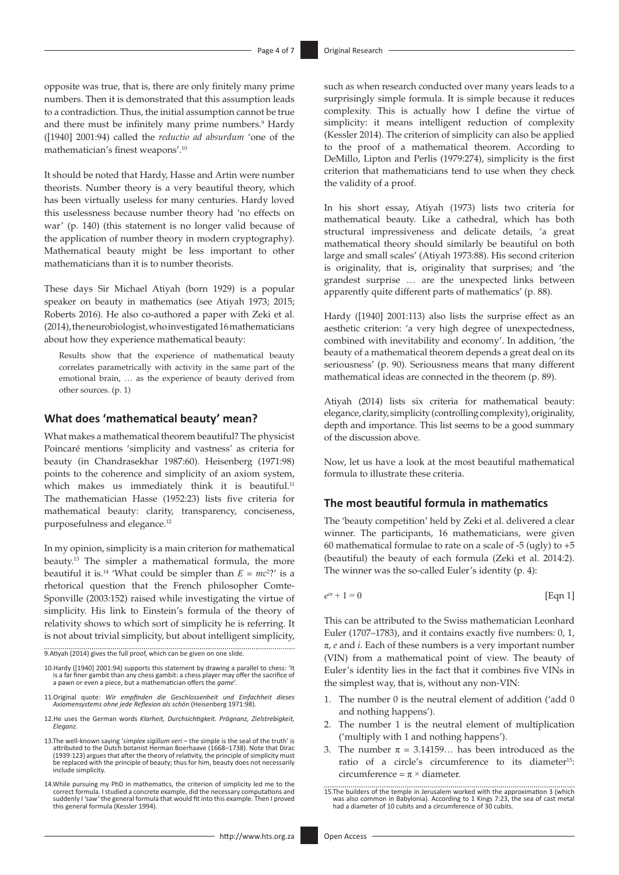opposite was true, that is, there are only finitely many prime numbers. Then it is demonstrated that this assumption leads to a contradiction. Thus, the initial assumption cannot be true and there must be infinitely many prime numbers.<sup>9</sup> Hardy ([1940] 2001:94) called the *reductio ad absurdum* 'one of the mathematician's finest weapons'.10

It should be noted that Hardy, Hasse and Artin were number theorists. Number theory is a very beautiful theory, which has been virtually useless for many centuries. Hardy loved this uselessness because number theory had 'no effects on war' (p. 140) (this statement is no longer valid because of the application of number theory in modern cryptography). Mathematical beauty might be less important to other mathematicians than it is to number theorists.

These days Sir Michael Atiyah (born 1929) is a popular speaker on beauty in mathematics (see Atiyah 1973; 2015; Roberts 2016). He also co-authored a paper with Zeki et al. (2014), the neurobiologist, who investigated 16 mathematicians about how they experience mathematical beauty:

Results show that the experience of mathematical beauty correlates parametrically with activity in the same part of the emotional brain, … as the experience of beauty derived from other sources. (p. 1)

#### **What does 'mathematical beauty' mean?**

What makes a mathematical theorem beautiful? The physicist Poincaré mentions 'simplicity and vastness' as criteria for beauty (in Chandrasekhar 1987:60). Heisenberg (1971:98) points to the coherence and simplicity of an axiom system, which makes us immediately think it is beautiful.<sup>11</sup> The mathematician Hasse (1952:23) lists five criteria for mathematical beauty: clarity, transparency, conciseness, purposefulness and elegance.12

In my opinion, simplicity is a main criterion for mathematical beauty.13 The simpler a mathematical formula, the more beautiful it is.<sup>14</sup> 'What could be simpler than  $E = mc^2$ ?' is a rhetorical question that the French philosopher Comte-Sponville (2003:152) raised while investigating the virtue of simplicity. His link to Einstein's formula of the theory of relativity shows to which sort of simplicity he is referring. It is not about trivial simplicity, but about intelligent simplicity,

9.Atiyah (2014) gives the full proof, which can be given on one slide.

- 10.Hardy ([1940] 2001:94) supports this statement by drawing a parallel to chess: 'It is a far finer gambit than any chess gambit: a chess player may offer the sacrifice of a pawn or even a piece, but a mathematician offers the *game*'.
- 11.Original quote: *Wir empfinden die Geschlossenheit und Einfachheit dieses Axiomensystems ohne jede Reflexion als schön* (Heisenberg 1971:98).
- 12.He uses the German words *Klarheit, Durchsichtigkeit. Prägnanz, Zielstrebigkeit, Eleganz*.
- 13.The well-known saying '*simplex sigillum veri* the simple is the seal of the truth' is attributed to the Dutch botanist Herman Boerhaave (1668–1738). Note that Dirac (1939:123) argues that after the theory of relativity, the principle of simplicity must be replaced with the principle of beauty; thus for him, beauty does not necessarily include simplicity.
- 14.While pursuing my PhD in mathematics, the criterion of simplicity led me to the correct formula. I studied a concrete example, did the necessary computations and suddenly I 'saw' the general formula that would fit into this example. Then I proved this general formula (Kessler 1994).

such as when research conducted over many years leads to a surprisingly simple formula. It is simple because it reduces complexity. This is actually how I define the virtue of simplicity: it means intelligent reduction of complexity (Kessler 2014). The criterion of simplicity can also be applied to the proof of a mathematical theorem. According to DeMillo, Lipton and Perlis (1979:274), simplicity is the first criterion that mathematicians tend to use when they check the validity of a proof.

In his short essay, Atiyah (1973) lists two criteria for mathematical beauty. Like a cathedral, which has both structural impressiveness and delicate details, 'a great mathematical theory should similarly be beautiful on both large and small scales' (Atiyah 1973:88). His second criterion is originality, that is, originality that surprises; and 'the grandest surprise … are the unexpected links between apparently quite different parts of mathematics' (p. 88).

Hardy ([1940] 2001:113) also lists the surprise effect as an aesthetic criterion: 'a very high degree of unexpectedness, combined with inevitability and economy'. In addition, 'the beauty of a mathematical theorem depends a great deal on its seriousness' (p. 90). Seriousness means that many different mathematical ideas are connected in the theorem (p. 89).

Atiyah (2014) lists six criteria for mathematical beauty: elegance, clarity, simplicity (controlling complexity), originality, depth and importance. This list seems to be a good summary of the discussion above.

Now, let us have a look at the most beautiful mathematical formula to illustrate these criteria.

### **The most beautiful formula in mathematics**

The 'beauty competition' held by Zeki et al. delivered a clear winner. The participants, 16 mathematicians, were given 60 mathematical formulae to rate on a scale of  $-5$  (ugly) to  $+5$ (beautiful) the beauty of each formula (Zeki et al. 2014:2). The winner was the so-called Euler's identity (p. 4):

 $e^{i\pi} + 1 = 0$  [Eqn 1]

This can be attributed to the Swiss mathematician Leonhard Euler (1707–1783), and it contains exactly five numbers: 0, 1, π, *e* and *i.* Each of these numbers is a very important number (VIN) from a mathematical point of view. The beauty of Euler's identity lies in the fact that it combines five VINs in the simplest way, that is, without any non-VIN:

- The number 0 is the neutral element of addition ('add 0 and nothing happens').
- 2. The number 1 is the neutral element of multiplication ('multiply with 1 and nothing happens').
- 3. The number  $\pi = 3.14159...$  has been introduced as the ratio of a circle's circumference to its diameter<sup>15</sup>: circumference =  $\pi$  × diameter.

<sup>15.</sup>The builders of the temple in Jerusalem worked with the approximation 3 (which was also common in Babylonia). According to 1 Kings 7:23, the sea of cast metal had a diameter of 10 cubits and a circumference of 30 cubits.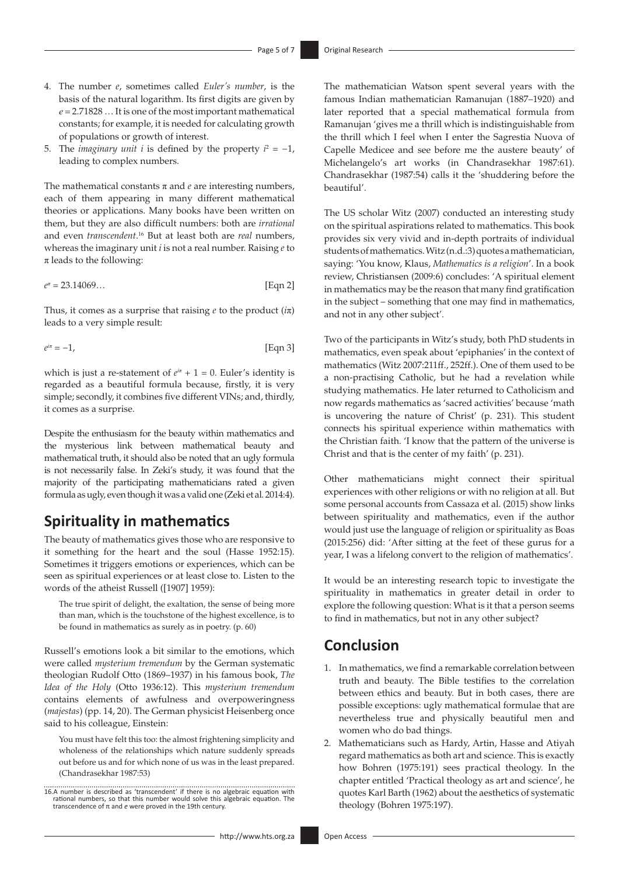- 4. The number *e*, sometimes called *Euler's number*, is the basis of the natural logarithm. Its first digits are given by *e* = 2.71828 … It is one of the most important mathematical constants; for example, it is needed for calculating growth of populations or growth of interest.
- 5. The *imaginary unit i* is defined by the property  $i^2 = -1$ , leading to complex numbers.

The mathematical constants  $\pi$  and  $e$  are interesting numbers, each of them appearing in many different mathematical theories or applications. Many books have been written on them, but they are also difficult numbers: both are *irrational* and even *transcendent*. 16 But at least both are *real* numbers, whereas the imaginary unit *i* is not a real number. Raising *e* to  $\pi$  leads to the following:

$$
e^x = 23.14069...
$$
 [Eqn 2]

Thus, it comes as a surprise that raising *e* to the product (*i*π) leads to a very simple result:

$$
e^{i\pi} = -1,\tag{Eqn 3}
$$

which is just a re-statement of  $e^{i\pi} + 1 = 0$ . Euler's identity is regarded as a beautiful formula because, firstly, it is very simple; secondly, it combines five different VINs; and, thirdly, it comes as a surprise.

Despite the enthusiasm for the beauty within mathematics and the mysterious link between mathematical beauty and mathematical truth, it should also be noted that an ugly formula is not necessarily false. In Zeki's study, it was found that the majority of the participating mathematicians rated a given formula as ugly, even though it was a valid one (Zeki et al. 2014:4).

### **Spirituality in mathematics**

The beauty of mathematics gives those who are responsive to it something for the heart and the soul (Hasse 1952:15). Sometimes it triggers emotions or experiences, which can be seen as spiritual experiences or at least close to. Listen to the words of the atheist Russell ([1907] 1959):

The true spirit of delight, the exaltation, the sense of being more than man, which is the touchstone of the highest excellence, is to be found in mathematics as surely as in poetry. (p. 60)

Russell's emotions look a bit similar to the emotions, which were called *mysterium tremendum* by the German systematic theologian Rudolf Otto (1869–1937) in his famous book, *The Idea of the Holy* (Otto 1936:12). This *mysterium tremendum* contains elements of awfulness and overpoweringness (*majestas*) (pp. 14, 20). The German physicist Heisenberg once said to his colleague, Einstein:

You must have felt this too: the almost frightening simplicity and wholeness of the relationships which nature suddenly spreads out before us and for which none of us was in the least prepared. (Chandrasekhar 1987:53)

The mathematician Watson spent several years with the famous Indian mathematician Ramanujan (1887–1920) and later reported that a special mathematical formula from Ramanujan 'gives me a thrill which is indistinguishable from the thrill which I feel when I enter the Sagrestia Nuova of Capelle Medicee and see before me the austere beauty' of Michelangelo's art works (in Chandrasekhar 1987:61). Chandrasekhar (1987:54) calls it the 'shuddering before the beautiful'.

The US scholar Witz (2007) conducted an interesting study on the spiritual aspirations related to mathematics. This book provides six very vivid and in-depth portraits of individual students of mathematics. Witz (n.d.:3) quotes a mathematician, saying: 'You know, Klaus, *Mathematics is a religion*'. In a book review, Christiansen (2009:6) concludes: 'A spiritual element in mathematics may be the reason that many find gratification in the subject – something that one may find in mathematics, and not in any other subject'.

Two of the participants in Witz's study, both PhD students in mathematics, even speak about 'epiphanies' in the context of mathematics (Witz 2007:211ff., 252ff.). One of them used to be a non-practising Catholic, but he had a revelation while studying mathematics. He later returned to Catholicism and now regards mathematics as 'sacred activities' because 'math is uncovering the nature of Christ' (p. 231). This student connects his spiritual experience within mathematics with the Christian faith. 'I know that the pattern of the universe is Christ and that is the center of my faith' (p. 231).

Other mathematicians might connect their spiritual experiences with other religions or with no religion at all. But some personal accounts from Cassaza et al. (2015) show links between spirituality and mathematics, even if the author would just use the language of religion or spirituality as Boas (2015:256) did: 'After sitting at the feet of these gurus for a year, I was a lifelong convert to the religion of mathematics'.

It would be an interesting research topic to investigate the spirituality in mathematics in greater detail in order to explore the following question: What is it that a person seems to find in mathematics, but not in any other subject?

### **Conclusion**

- 1. In mathematics, we find a remarkable correlation between truth and beauty. The Bible testifies to the correlation between ethics and beauty. But in both cases, there are possible exceptions: ugly mathematical formulae that are nevertheless true and physically beautiful men and women who do bad things.
- 2. Mathematicians such as Hardy, Artin, Hasse and Atiyah regard mathematics as both art and science. This is exactly how Bohren (1975:191) sees practical theology. In the chapter entitled 'Practical theology as art and science', he quotes Karl Barth (1962) about the aesthetics of systematic theology (Bohren 1975:197).

<sup>16.</sup>A number is described as 'transcendent' if there is no algebraic equation with rational numbers, so that this number would solve this algebraic equation. The transcendence of π and *e* were proved in the 19th century.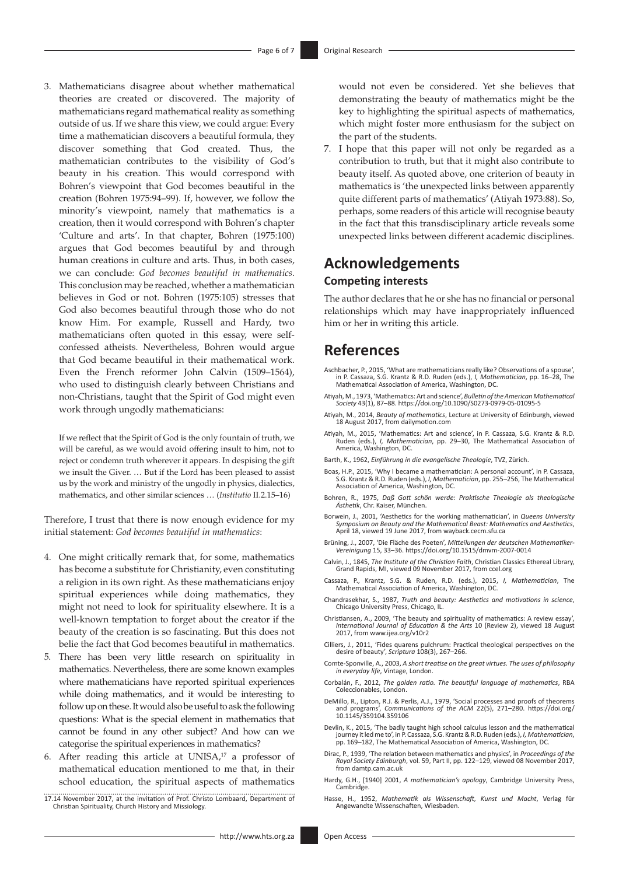3. Mathematicians disagree about whether mathematical theories are created or discovered. The majority of mathematicians regard mathematical reality as something outside of us. If we share this view, we could argue: Every time a mathematician discovers a beautiful formula, they discover something that God created. Thus, the mathematician contributes to the visibility of God's beauty in his creation. This would correspond with Bohren's viewpoint that God becomes beautiful in the creation (Bohren 1975:94–99). If, however, we follow the minority's viewpoint, namely that mathematics is a creation, then it would correspond with Bohren's chapter 'Culture and arts'. In that chapter, Bohren (1975:100) argues that God becomes beautiful by and through human creations in culture and arts. Thus, in both cases, we can conclude: *God becomes beautiful in mathematics*. This conclusion may be reached, whether a mathematician believes in God or not. Bohren (1975:105) stresses that God also becomes beautiful through those who do not know Him. For example, Russell and Hardy, two mathematicians often quoted in this essay, were selfconfessed atheists. Nevertheless, Bohren would argue that God became beautiful in their mathematical work. Even the French reformer John Calvin (1509–1564), who used to distinguish clearly between Christians and non-Christians, taught that the Spirit of God might even work through ungodly mathematicians:

If we reflect that the Spirit of God is the only fountain of truth, we will be careful, as we would avoid offering insult to him, not to reject or condemn truth wherever it appears. In despising the gift we insult the Giver. … But if the Lord has been pleased to assist us by the work and ministry of the ungodly in physics, dialectics, mathematics, and other similar sciences … (*Institutio* II.2.15–16)

Therefore, I trust that there is now enough evidence for my initial statement: *God becomes beautiful in mathematics*:

- 4. One might critically remark that, for some, mathematics has become a substitute for Christianity, even constituting a religion in its own right. As these mathematicians enjoy spiritual experiences while doing mathematics, they might not need to look for spirituality elsewhere. It is a well-known temptation to forget about the creator if the beauty of the creation is so fascinating. But this does not belie the fact that God becomes beautiful in mathematics.
- 5. There has been very little research on spirituality in mathematics. Nevertheless, there are some known examples where mathematicians have reported spiritual experiences while doing mathematics, and it would be interesting to follow up on these. It would also be useful to ask the following questions: What is the special element in mathematics that cannot be found in any other subject? And how can we categorise the spiritual experiences in mathematics?
- 6. After reading this article at UNISA, $17$  a professor of mathematical education mentioned to me that, in their school education, the spiritual aspects of mathematics
- 17.14 November 2017, at the invitation of Prof. Christo Lombaard, Department of Christian Spirituality, Church History and Missiology.

would not even be considered. Yet she believes that demonstrating the beauty of mathematics might be the key to highlighting the spiritual aspects of mathematics, which might foster more enthusiasm for the subject on the part of the students.

7. I hope that this paper will not only be regarded as a contribution to truth, but that it might also contribute to beauty itself. As quoted above, one criterion of beauty in mathematics is 'the unexpected links between apparently quite different parts of mathematics' (Atiyah 1973:88). So, perhaps, some readers of this article will recognise beauty in the fact that this transdisciplinary article reveals some unexpected links between different academic disciplines.

### **Acknowledgements Competing interests**

The author declares that he or she has no financial or personal relationships which may have inappropriately influenced him or her in writing this article.

# **References**

- Aschbacher, P., 2015, 'What are mathematicians really like? Observations of a spouse', in P. Cassaza, S.G. Krantz & R.D. Ruden (eds.), *I, Mathematician*, pp. 16–28, The Mathematical Association of America, Washington, DC.
- Atiyah, M., 1973, 'Mathematics: Art and science', *Bulletin of the American Mathematical Society* 43(1), 87–88.<https://doi.org/10.1090/S0273-0979-05-01095-5>
- Atiyah, M., 2014, *Beauty of mathematics*, Lecture at University of Edinburgh, viewed 18 August 2017, from <dailymotion.com>
- Atiyah, M., 2015, 'Mathematics: Art and science', in P. Cassaza, S.G. Krantz & R.D. Ruden (eds.), *I, Mathematician*, pp. 29–30, The Mathematical Association of America, Washington, DC.
- Barth, K., 1962, *Einführung in die evangelische Theologie*, TVZ, Zürich.
- Boas, H.P., 2015, 'Why I became a mathematician: A personal account', in P. Cassaza, S.G. Krantz & R.D. Ruden (eds.), *I, Mathematician*, pp. 255–256, The Mathematical Association of America, Washington, DC.
- Bohren, R., 1975, *Daß Gott schön werde: Praktische Theologie als theologische Ästhetik*, Chr. Kaiser, München.
- Borwein, J., 2001, 'Aesthetics for the working mathematician', in *Queens University Symposium on Beauty and the Mathematical Beast: Mathematics and Aesthetics*, April 18, viewed 19 June 2017, from <wayback.cecm.sfu.ca>
- Brüning, J., 2007, 'Die Fläche des Poeten', *Mitteilungen der deutschen Mathematiker-Vereinigung* 15, 33–36.<https://doi.org/10.1515/dmvm-2007-0014>
- Calvin, J., 1845, *The Institute of the Christian Faith*, Christian Classics Ethereal Library, Grand Rapids, MI, viewed 09 November 2017, from<ccel.org>
- Cassaza, P., Krantz, S.G. & Ruden, R.D. (eds.), 2015, *I, Mathematician*, The Mathematical Association of America, Washington, DC.
- Chandrasekhar, S., 1987, *Truth and beauty: Aesthetics and motivations in science*, Chicago University Press, Chicago, IL.
- Christiansen, A., 2009, 'The beauty and spirituality of mathematics: A review essay', *International Journal of Education & the Arts* 10 (Review 2), viewed 18 August 2017, from<www.ijea.org/v10r2>
- Cilliers, J., 2011, 'Fides quarens pulchrum: Practical theological perspectives on the desire of beauty', *Scriptura* 108(3), 267–266.
- Comte-Sponville, A., 2003, *A short treatise on the great virtues. The uses of philosophy in everyday life*, Vintage, London.
- Corbalán, F., 2012, *The golden ratio. The beautiful language of mathematics*, RBA Coleccionables, London.
- DeMillo, R., Lipton, R.J. & Perlis, A.J., 1979, 'Social processes and proofs of theorems and programs', *Communications of the ACM* 22(5), 271–280. [https://doi.org/](https://doi.org/10.1145/359104.359106) [10.1145/359104.359106](https://doi.org/10.1145/359104.359106)
- Devlin, K., 2015, 'The badly taught high school calculus lesson and the mathematical<br>journey it led me to', in P. Cassaza, 5.G. Krantz & R.D. Ruden (eds.), *I, Mathematician*,<br>pp. 169–182, The Mathematical Association of A
- Dirac, P., 1939, 'The relation between mathematics and physics', in *Proceedings of the Royal Society Edinburgh*, vol. 59, Part II, pp. 122–129, viewed 08 November 2017, from<damtp.cam.ac.uk>
- Hardy, G.H., [1940] 2001, *A mathematician's apology*, Cambridge University Press, Cambridge.
- Hasse, H., 1952, *Mathematik als Wissenschaft, Kunst und Macht*, Verlag für Angewandte Wissenschaften, Wiesbaden.